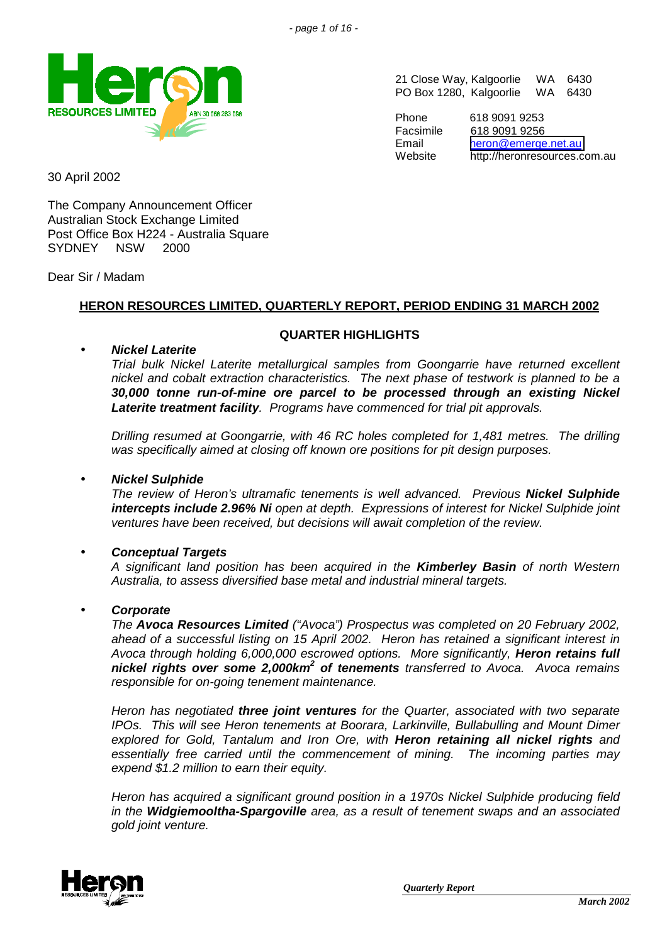

21 Close Way, Kalgoorlie WA 6430 PO Box 1280, Kalgoorlie WA 6430

Phone 618 9091 9253 Facsimile 618 9091 9256 Email [heron@emerge.net.au](mailto:heron@emerge.net.au) Website http://heronresources.com.au

30 April 2002

The Company Announcement Officer Australian Stock Exchange Limited Post Office Box H224 - Australia Square SYDNEY NSW 2000

Dear Sir / Madam

# **HERON RESOURCES LIMITED, QUARTERLY REPORT, PERIOD ENDING 31 MARCH 2002**

## **QUARTER HIGHLIGHTS**

## • *Nickel Laterite*

*Trial bulk Nickel Laterite metallurgical samples from Goongarrie have returned excellent nickel and cobalt extraction characteristics. The next phase of testwork is planned to be a 30,000 tonne run-of-mine ore parcel to be processed through an existing Nickel Laterite treatment facility. Programs have commenced for trial pit approvals.*

*Drilling resumed at Goongarrie, with 46 RC holes completed for 1,481 metres. The drilling was specifically aimed at closing off known ore positions for pit design purposes.*

## • *Nickel Sulphide*

*The review of Heron's ultramafic tenements is well advanced. Previous Nickel Sulphide intercepts include 2.96% Ni open at depth. Expressions of interest for Nickel Sulphide joint ventures have been received, but decisions will await completion of the review.*

## • *Conceptual Targets*

*A significant land position has been acquired in the Kimberley Basin of north Western Australia, to assess diversified base metal and industrial mineral targets.*

## • *Corporate*

*The Avoca Resources Limited ("Avoca") Prospectus was completed on 20 February 2002, ahead of a successful listing on 15 April 2002. Heron has retained a significant interest in Avoca through holding 6,000,000 escrowed options. More significantly, Heron retains full nickel rights over some 2,000km<sup>2</sup> of tenements transferred to Avoca. Avoca remains responsible for on-going tenement maintenance.*

*Heron has negotiated three joint ventures for the Quarter, associated with two separate IPOs. This will see Heron tenements at Boorara, Larkinville, Bullabulling and Mount Dimer explored for Gold, Tantalum and Iron Ore, with Heron retaining all nickel rights and essentially free carried until the commencement of mining. The incoming parties may expend \$1.2 million to earn their equity.*

*Heron has acquired a significant ground position in a 1970s Nickel Sulphide producing field in the Widgiemooltha-Spargoville area, as a result of tenement swaps and an associated gold joint venture.*

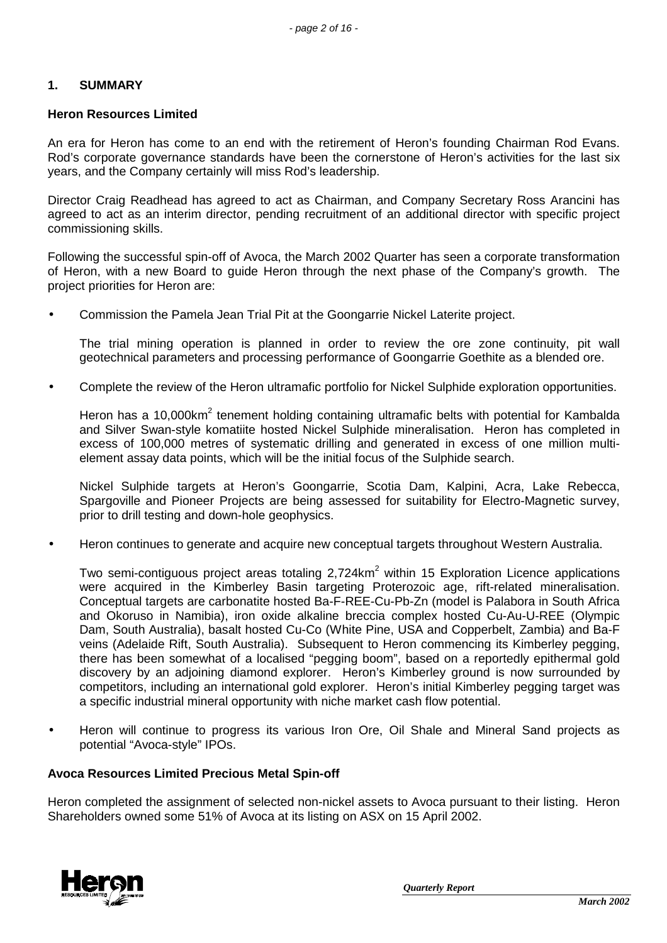### **1. SUMMARY**

#### **Heron Resources Limited**

An era for Heron has come to an end with the retirement of Heron's founding Chairman Rod Evans. Rod's corporate governance standards have been the cornerstone of Heron's activities for the last six years, and the Company certainly will miss Rod's leadership.

Director Craig Readhead has agreed to act as Chairman, and Company Secretary Ross Arancini has agreed to act as an interim director, pending recruitment of an additional director with specific project commissioning skills.

Following the successful spin-off of Avoca, the March 2002 Quarter has seen a corporate transformation of Heron, with a new Board to guide Heron through the next phase of the Company's growth. The project priorities for Heron are:

• Commission the Pamela Jean Trial Pit at the Goongarrie Nickel Laterite project.

The trial mining operation is planned in order to review the ore zone continuity, pit wall geotechnical parameters and processing performance of Goongarrie Goethite as a blended ore.

• Complete the review of the Heron ultramafic portfolio for Nickel Sulphide exploration opportunities.

Heron has a 10,000km<sup>2</sup> tenement holding containing ultramafic belts with potential for Kambalda and Silver Swan-style komatiite hosted Nickel Sulphide mineralisation. Heron has completed in excess of 100,000 metres of systematic drilling and generated in excess of one million multielement assay data points, which will be the initial focus of the Sulphide search.

Nickel Sulphide targets at Heron's Goongarrie, Scotia Dam, Kalpini, Acra, Lake Rebecca, Spargoville and Pioneer Projects are being assessed for suitability for Electro-Magnetic survey, prior to drill testing and down-hole geophysics.

• Heron continues to generate and acquire new conceptual targets throughout Western Australia.

Two semi-contiguous project areas totaling 2,724km<sup>2</sup> within 15 Exploration Licence applications were acquired in the Kimberley Basin targeting Proterozoic age, rift-related mineralisation. Conceptual targets are carbonatite hosted Ba-F-REE-Cu-Pb-Zn (model is Palabora in South Africa and Okoruso in Namibia), iron oxide alkaline breccia complex hosted Cu-Au-U-REE (Olympic Dam, South Australia), basalt hosted Cu-Co (White Pine, USA and Copperbelt, Zambia) and Ba-F veins (Adelaide Rift, South Australia). Subsequent to Heron commencing its Kimberley pegging, there has been somewhat of a localised "pegging boom", based on a reportedly epithermal gold discovery by an adjoining diamond explorer. Heron's Kimberley ground is now surrounded by competitors, including an international gold explorer. Heron's initial Kimberley pegging target was a specific industrial mineral opportunity with niche market cash flow potential.

• Heron will continue to progress its various Iron Ore, Oil Shale and Mineral Sand projects as potential "Avoca-style" IPOs.

#### **Avoca Resources Limited Precious Metal Spin-off**

Heron completed the assignment of selected non-nickel assets to Avoca pursuant to their listing. Heron Shareholders owned some 51% of Avoca at its listing on ASX on 15 April 2002.

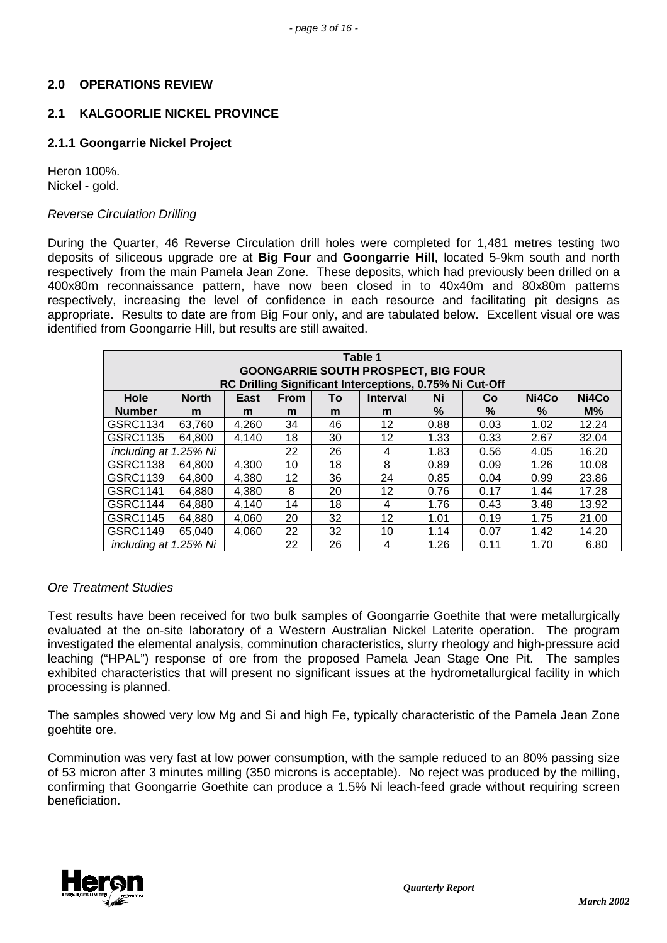## **2.0 OPERATIONS REVIEW**

## **2.1 KALGOORLIE NICKEL PROVINCE**

## **2.1.1 Goongarrie Nickel Project**

Heron 100%. Nickel - gold.

## *Reverse Circulation Drilling*

During the Quarter, 46 Reverse Circulation drill holes were completed for 1,481 metres testing two deposits of siliceous upgrade ore at **Big Four** and **Goongarrie Hill**, located 5-9km south and north respectively from the main Pamela Jean Zone. These deposits, which had previously been drilled on a 400x80m reconnaissance pattern, have now been closed in to 40x40m and 80x80m patterns respectively, increasing the level of confidence in each resource and facilitating pit designs as appropriate. Results to date are from Big Four only, and are tabulated below. Excellent visual ore was identified from Goongarrie Hill, but results are still awaited.

| Table 1<br><b>GOONGARRIE SOUTH PROSPECT, BIG FOUR</b><br>RC Drilling Significant Interceptions, 0.75% Ni Cut-Off |              |       |             |    |                 |      |      |       |       |
|------------------------------------------------------------------------------------------------------------------|--------------|-------|-------------|----|-----------------|------|------|-------|-------|
| Hole                                                                                                             | <b>North</b> | East  | <b>From</b> | To | <b>Interval</b> | Ni   | Co   | Ni4Co | Ni4Co |
| <b>Number</b>                                                                                                    | m            | m     | m           | m  | m               | $\%$ | %    | %     | $M\%$ |
| GSRC1134                                                                                                         | 63,760       | 4,260 | 34          | 46 | 12              | 0.88 | 0.03 | 1.02  | 12.24 |
| GSRC1135                                                                                                         | 64,800       | 4.140 | 18          | 30 | 12              | 1.33 | 0.33 | 2.67  | 32.04 |
| including at 1.25% Ni                                                                                            |              |       | 22          | 26 | 4               | 1.83 | 0.56 | 4.05  | 16.20 |
| <b>GSRC1138</b>                                                                                                  | 64,800       | 4,300 | 10          | 18 | 8               | 0.89 | 0.09 | 1.26  | 10.08 |
| GSRC1139                                                                                                         | 64,800       | 4,380 | 12          | 36 | 24              | 0.85 | 0.04 | 0.99  | 23.86 |
| <b>GSRC1141</b>                                                                                                  | 64,880       | 4,380 | 8           | 20 | 12              | 0.76 | 0.17 | 1.44  | 17.28 |
| <b>GSRC1144</b>                                                                                                  | 64,880       | 4.140 | 14          | 18 | 4               | 1.76 | 0.43 | 3.48  | 13.92 |
| <b>GSRC1145</b>                                                                                                  | 64,880       | 4,060 | 20          | 32 | 12              | 1.01 | 0.19 | 1.75  | 21.00 |
| <b>GSRC1149</b>                                                                                                  | 65,040       | 4,060 | 22          | 32 | 10              | 1.14 | 0.07 | 1.42  | 14.20 |
| including at 1.25% Ni                                                                                            |              |       | 22          | 26 | 4               | 1.26 | 0.11 | 1.70  | 6.80  |

#### *Ore Treatment Studies*

Test results have been received for two bulk samples of Goongarrie Goethite that were metallurgically evaluated at the on-site laboratory of a Western Australian Nickel Laterite operation. The program investigated the elemental analysis, comminution characteristics, slurry rheology and high-pressure acid leaching ("HPAL") response of ore from the proposed Pamela Jean Stage One Pit. The samples exhibited characteristics that will present no significant issues at the hydrometallurgical facility in which processing is planned.

The samples showed very low Mg and Si and high Fe, typically characteristic of the Pamela Jean Zone goehtite ore.

Comminution was very fast at low power consumption, with the sample reduced to an 80% passing size of 53 micron after 3 minutes milling (350 microns is acceptable). No reject was produced by the milling, confirming that Goongarrie Goethite can produce a 1.5% Ni leach-feed grade without requiring screen beneficiation.

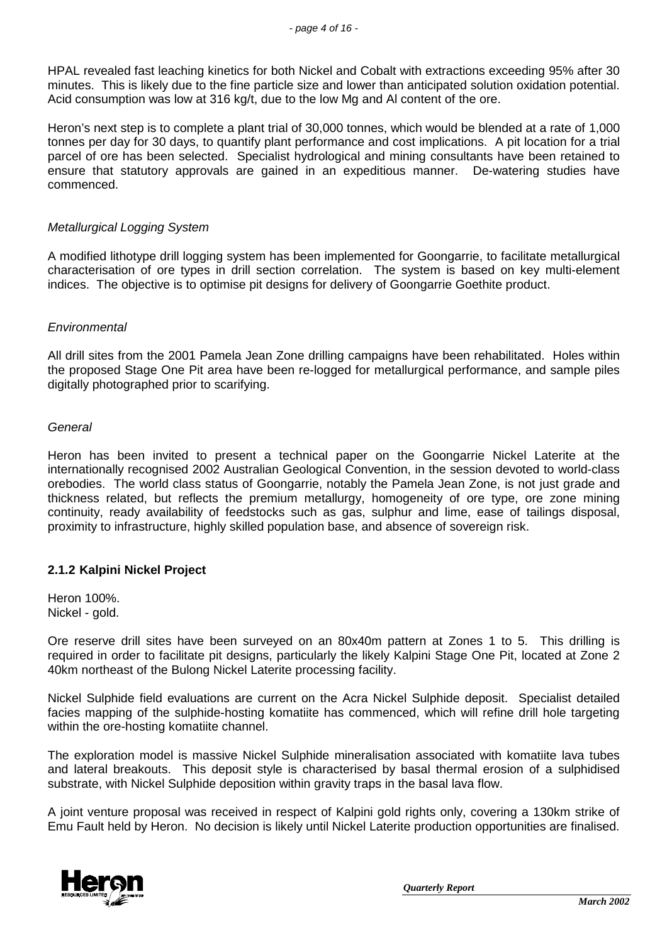HPAL revealed fast leaching kinetics for both Nickel and Cobalt with extractions exceeding 95% after 30 minutes. This is likely due to the fine particle size and lower than anticipated solution oxidation potential. Acid consumption was low at 316 kg/t, due to the low Mg and Al content of the ore.

Heron's next step is to complete a plant trial of 30,000 tonnes, which would be blended at a rate of 1,000 tonnes per day for 30 days, to quantify plant performance and cost implications. A pit location for a trial parcel of ore has been selected. Specialist hydrological and mining consultants have been retained to ensure that statutory approvals are gained in an expeditious manner. De-watering studies have commenced.

## *Metallurgical Logging System*

A modified lithotype drill logging system has been implemented for Goongarrie, to facilitate metallurgical characterisation of ore types in drill section correlation. The system is based on key multi-element indices. The objective is to optimise pit designs for delivery of Goongarrie Goethite product.

## *Environmental*

All drill sites from the 2001 Pamela Jean Zone drilling campaigns have been rehabilitated. Holes within the proposed Stage One Pit area have been re-logged for metallurgical performance, and sample piles digitally photographed prior to scarifying.

## *General*

Heron has been invited to present a technical paper on the Goongarrie Nickel Laterite at the internationally recognised 2002 Australian Geological Convention, in the session devoted to world-class orebodies. The world class status of Goongarrie, notably the Pamela Jean Zone, is not just grade and thickness related, but reflects the premium metallurgy, homogeneity of ore type, ore zone mining continuity, ready availability of feedstocks such as gas, sulphur and lime, ease of tailings disposal, proximity to infrastructure, highly skilled population base, and absence of sovereign risk.

## **2.1.2 Kalpini Nickel Project**

Heron 100%. Nickel - gold.

Ore reserve drill sites have been surveyed on an 80x40m pattern at Zones 1 to 5. This drilling is required in order to facilitate pit designs, particularly the likely Kalpini Stage One Pit, located at Zone 2 40km northeast of the Bulong Nickel Laterite processing facility.

Nickel Sulphide field evaluations are current on the Acra Nickel Sulphide deposit. Specialist detailed facies mapping of the sulphide-hosting komatiite has commenced, which will refine drill hole targeting within the ore-hosting komatiite channel.

The exploration model is massive Nickel Sulphide mineralisation associated with komatiite lava tubes and lateral breakouts. This deposit style is characterised by basal thermal erosion of a sulphidised substrate, with Nickel Sulphide deposition within gravity traps in the basal lava flow.

A joint venture proposal was received in respect of Kalpini gold rights only, covering a 130km strike of Emu Fault held by Heron. No decision is likely until Nickel Laterite production opportunities are finalised.

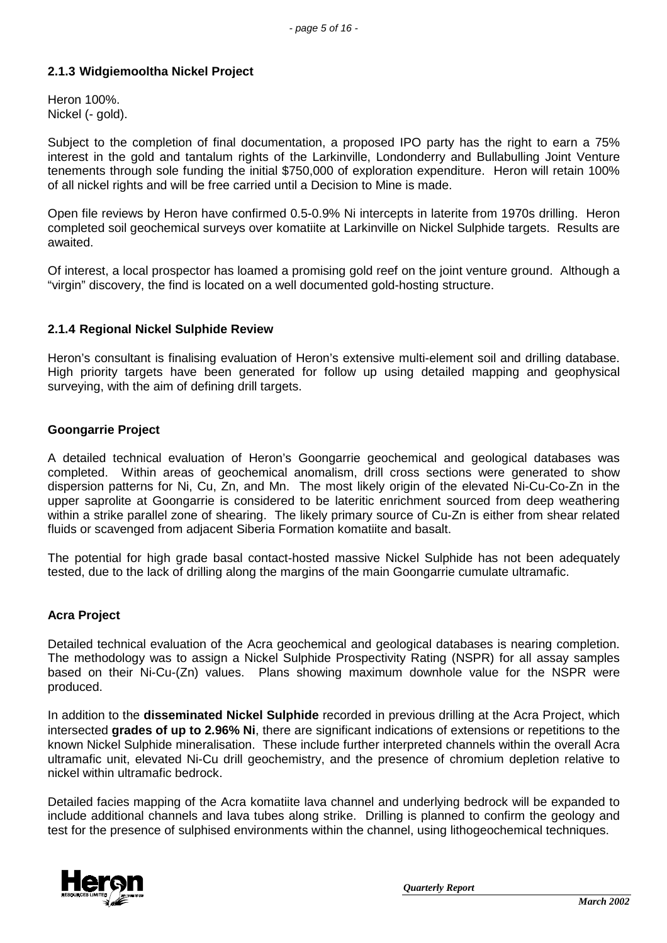## **2.1.3 Widgiemooltha Nickel Project**

Heron 100%. Nickel (- gold).

Subject to the completion of final documentation, a proposed IPO party has the right to earn a 75% interest in the gold and tantalum rights of the Larkinville, Londonderry and Bullabulling Joint Venture tenements through sole funding the initial \$750,000 of exploration expenditure. Heron will retain 100% of all nickel rights and will be free carried until a Decision to Mine is made.

Open file reviews by Heron have confirmed 0.5-0.9% Ni intercepts in laterite from 1970s drilling. Heron completed soil geochemical surveys over komatiite at Larkinville on Nickel Sulphide targets. Results are awaited.

Of interest, a local prospector has loamed a promising gold reef on the joint venture ground. Although a "virgin" discovery, the find is located on a well documented gold-hosting structure.

## **2.1.4 Regional Nickel Sulphide Review**

Heron's consultant is finalising evaluation of Heron's extensive multi-element soil and drilling database. High priority targets have been generated for follow up using detailed mapping and geophysical surveying, with the aim of defining drill targets.

#### **Goongarrie Project**

A detailed technical evaluation of Heron's Goongarrie geochemical and geological databases was completed. Within areas of geochemical anomalism, drill cross sections were generated to show dispersion patterns for Ni, Cu, Zn, and Mn. The most likely origin of the elevated Ni-Cu-Co-Zn in the upper saprolite at Goongarrie is considered to be lateritic enrichment sourced from deep weathering within a strike parallel zone of shearing. The likely primary source of Cu-Zn is either from shear related fluids or scavenged from adjacent Siberia Formation komatiite and basalt.

The potential for high grade basal contact-hosted massive Nickel Sulphide has not been adequately tested, due to the lack of drilling along the margins of the main Goongarrie cumulate ultramafic.

## **Acra Project**

Detailed technical evaluation of the Acra geochemical and geological databases is nearing completion. The methodology was to assign a Nickel Sulphide Prospectivity Rating (NSPR) for all assay samples based on their Ni-Cu-(Zn) values. Plans showing maximum downhole value for the NSPR were produced.

In addition to the **disseminated Nickel Sulphide** recorded in previous drilling at the Acra Project, which intersected **grades of up to 2.96% Ni**, there are significant indications of extensions or repetitions to the known Nickel Sulphide mineralisation. These include further interpreted channels within the overall Acra ultramafic unit, elevated Ni-Cu drill geochemistry, and the presence of chromium depletion relative to nickel within ultramafic bedrock.

Detailed facies mapping of the Acra komatiite lava channel and underlying bedrock will be expanded to include additional channels and lava tubes along strike. Drilling is planned to confirm the geology and test for the presence of sulphised environments within the channel, using lithogeochemical techniques.

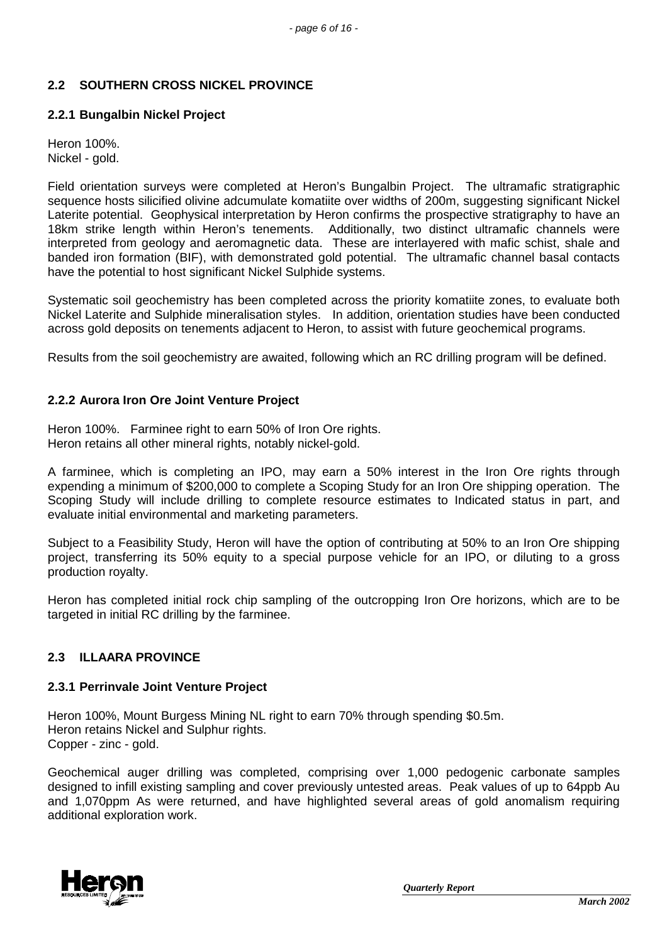# **2.2 SOUTHERN CROSS NICKEL PROVINCE**

# **2.2.1 Bungalbin Nickel Project**

Heron 100%. Nickel - gold.

Field orientation surveys were completed at Heron's Bungalbin Project. The ultramafic stratigraphic sequence hosts silicified olivine adcumulate komatiite over widths of 200m, suggesting significant Nickel Laterite potential. Geophysical interpretation by Heron confirms the prospective stratigraphy to have an 18km strike length within Heron's tenements. Additionally, two distinct ultramafic channels were interpreted from geology and aeromagnetic data. These are interlayered with mafic schist, shale and banded iron formation (BIF), with demonstrated gold potential. The ultramafic channel basal contacts have the potential to host significant Nickel Sulphide systems.

Systematic soil geochemistry has been completed across the priority komatiite zones, to evaluate both Nickel Laterite and Sulphide mineralisation styles. In addition, orientation studies have been conducted across gold deposits on tenements adjacent to Heron, to assist with future geochemical programs.

Results from the soil geochemistry are awaited, following which an RC drilling program will be defined.

## **2.2.2 Aurora Iron Ore Joint Venture Project**

Heron 100%. Farminee right to earn 50% of Iron Ore rights. Heron retains all other mineral rights, notably nickel-gold.

A farminee, which is completing an IPO, may earn a 50% interest in the Iron Ore rights through expending a minimum of \$200,000 to complete a Scoping Study for an Iron Ore shipping operation. The Scoping Study will include drilling to complete resource estimates to Indicated status in part, and evaluate initial environmental and marketing parameters.

Subject to a Feasibility Study, Heron will have the option of contributing at 50% to an Iron Ore shipping project, transferring its 50% equity to a special purpose vehicle for an IPO, or diluting to a gross production royalty.

Heron has completed initial rock chip sampling of the outcropping Iron Ore horizons, which are to be targeted in initial RC drilling by the farminee.

# **2.3 ILLAARA PROVINCE**

## **2.3.1 Perrinvale Joint Venture Project**

Heron 100%, Mount Burgess Mining NL right to earn 70% through spending \$0.5m. Heron retains Nickel and Sulphur rights. Copper - zinc - gold.

Geochemical auger drilling was completed, comprising over 1,000 pedogenic carbonate samples designed to infill existing sampling and cover previously untested areas. Peak values of up to 64ppb Au and 1,070ppm As were returned, and have highlighted several areas of gold anomalism requiring additional exploration work.

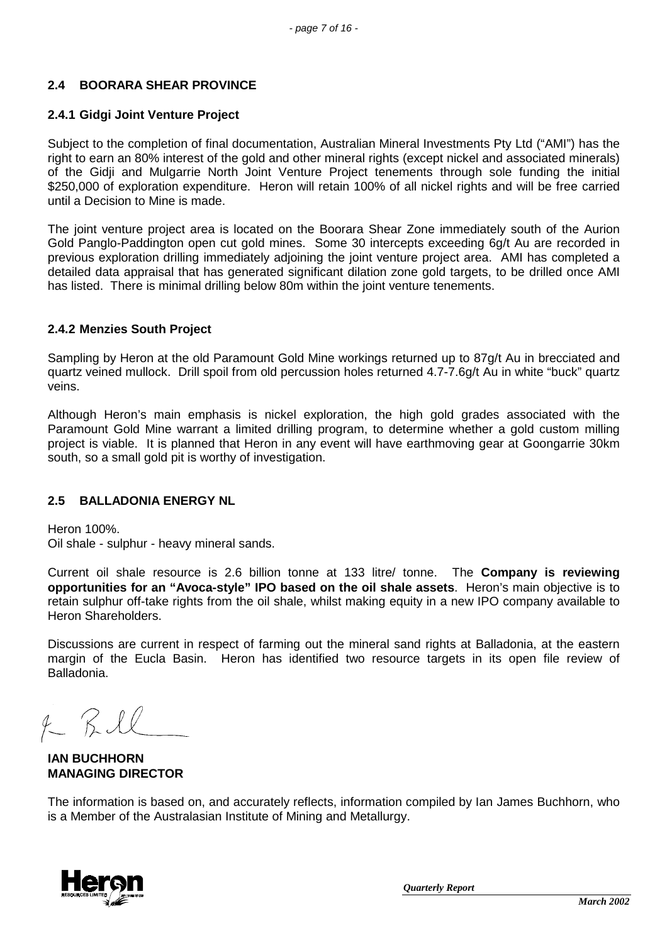## **2.4 BOORARA SHEAR PROVINCE**

### **2.4.1 Gidgi Joint Venture Project**

Subject to the completion of final documentation, Australian Mineral Investments Pty Ltd ("AMI") has the right to earn an 80% interest of the gold and other mineral rights (except nickel and associated minerals) of the Gidji and Mulgarrie North Joint Venture Project tenements through sole funding the initial \$250,000 of exploration expenditure. Heron will retain 100% of all nickel rights and will be free carried until a Decision to Mine is made.

The joint venture project area is located on the Boorara Shear Zone immediately south of the Aurion Gold Panglo-Paddington open cut gold mines. Some 30 intercepts exceeding 6g/t Au are recorded in previous exploration drilling immediately adjoining the joint venture project area. AMI has completed a detailed data appraisal that has generated significant dilation zone gold targets, to be drilled once AMI has listed. There is minimal drilling below 80m within the joint venture tenements.

#### **2.4.2 Menzies South Project**

Sampling by Heron at the old Paramount Gold Mine workings returned up to 87g/t Au in brecciated and quartz veined mullock. Drill spoil from old percussion holes returned 4.7-7.6g/t Au in white "buck" quartz veins.

Although Heron's main emphasis is nickel exploration, the high gold grades associated with the Paramount Gold Mine warrant a limited drilling program, to determine whether a gold custom milling project is viable. It is planned that Heron in any event will have earthmoving gear at Goongarrie 30km south, so a small gold pit is worthy of investigation.

## **2.5 BALLADONIA ENERGY NL**

Heron 100%.

Oil shale - sulphur - heavy mineral sands.

Current oil shale resource is 2.6 billion tonne at 133 litre/ tonne. The **Company is reviewing opportunities for an "Avoca-style" IPO based on the oil shale assets**. Heron's main objective is to retain sulphur off-take rights from the oil shale, whilst making equity in a new IPO company available to Heron Shareholders.

Discussions are current in respect of farming out the mineral sand rights at Balladonia, at the eastern margin of the Eucla Basin. Heron has identified two resource targets in its open file review of Balladonia.

 $4 - 7.11$ 

**IAN BUCHHORN MANAGING DIRECTOR**

The information is based on, and accurately reflects, information compiled by Ian James Buchhorn, who is a Member of the Australasian Institute of Mining and Metallurgy.

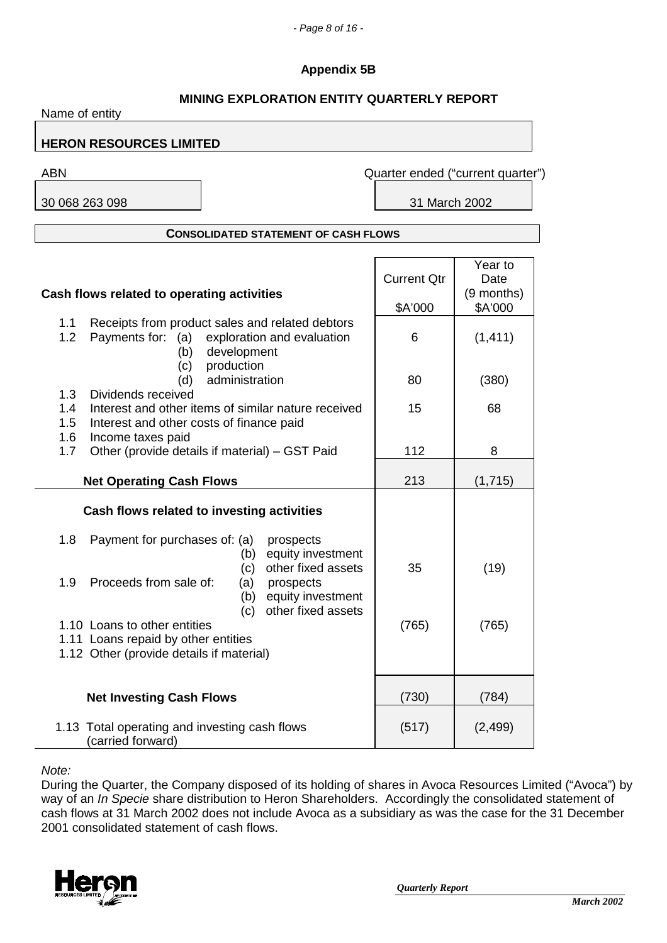## **Appendix 5B**

| <b>MINING EXPLORATION ENTITY QUARTERLY REPORT</b><br>Name of entity                                                                                                    |                               |                                          |  |  |
|------------------------------------------------------------------------------------------------------------------------------------------------------------------------|-------------------------------|------------------------------------------|--|--|
| <b>HERON RESOURCES LIMITED</b>                                                                                                                                         |                               |                                          |  |  |
| <b>ABN</b>                                                                                                                                                             |                               | Quarter ended ("current quarter")        |  |  |
| 30 068 263 098                                                                                                                                                         | 31 March 2002                 |                                          |  |  |
| <b>CONSOLIDATED STATEMENT OF CASH FLOWS</b>                                                                                                                            |                               |                                          |  |  |
| Cash flows related to operating activities<br>Receipts from product sales and related debtors<br>1.1                                                                   | <b>Current Qtr</b><br>\$A'000 | Year to<br>Date<br>(9 months)<br>\$A'000 |  |  |
| 1.2<br>Payments for: (a)<br>exploration and evaluation<br>development<br>(b)<br>production<br>(c)<br>administration<br>(d)                                             | 6<br>80                       | (1, 411)<br>(380)                        |  |  |
| 1.3<br>Dividends received<br>1.4<br>Interest and other items of similar nature received<br>1.5<br>Interest and other costs of finance paid<br>1.6<br>Income taxes paid | 15                            | 68                                       |  |  |
| 1.7<br>Other (provide details if material) - GST Paid<br><b>Net Operating Cash Flows</b>                                                                               | 112<br>213                    | 8<br>(1,715)                             |  |  |
| Cash flows related to investing activities                                                                                                                             |                               |                                          |  |  |
| 1.8<br>Payment for purchases of: (a)<br>prospects<br>equity investment<br>(b)<br>other fixed assets<br>(c)<br>Proceeds from sale of:<br>1.9<br>(a)<br>prospects        | 35                            | (19)                                     |  |  |
| (b) equity investment<br>other fixed assets<br>(c)<br>1.10 Loans to other entities<br>1.11 Loans repaid by other entities<br>1.12 Other (provide details if material)  | (765)                         | (765)                                    |  |  |
| <b>Net Investing Cash Flows</b>                                                                                                                                        | (730)                         | (784)                                    |  |  |
| 1.13 Total operating and investing cash flows<br>(carried forward)                                                                                                     | (517)                         | (2, 499)                                 |  |  |

### *Note:*

During the Quarter, the Company disposed of its holding of shares in Avoca Resources Limited ("Avoca") by way of an *In Specie* share distribution to Heron Shareholders. Accordingly the consolidated statement of cash flows at 31 March 2002 does not include Avoca as a subsidiary as was the case for the 31 December 2001 consolidated statement of cash flows.

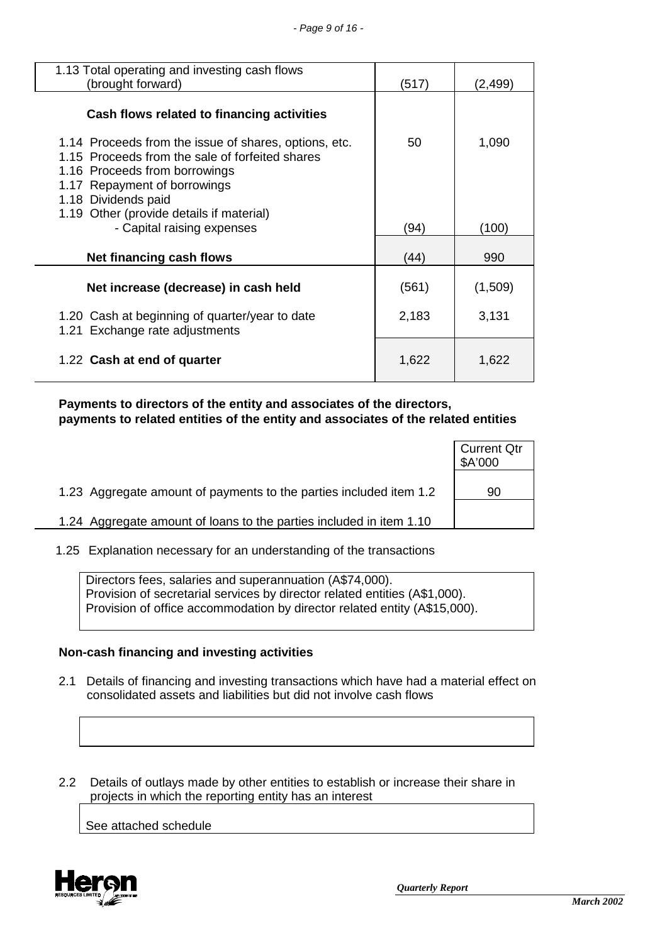| 1.13 Total operating and investing cash flows<br>(brought forward)                                                                                                                                                                           | (517) | (2,499) |
|----------------------------------------------------------------------------------------------------------------------------------------------------------------------------------------------------------------------------------------------|-------|---------|
| Cash flows related to financing activities                                                                                                                                                                                                   |       |         |
| 1.14 Proceeds from the issue of shares, options, etc.<br>1.15 Proceeds from the sale of forfeited shares<br>1.16 Proceeds from borrowings<br>1.17 Repayment of borrowings<br>1.18 Dividends paid<br>1.19 Other (provide details if material) | 50    | 1,090   |
| - Capital raising expenses                                                                                                                                                                                                                   | (94)  | (100)   |
| Net financing cash flows                                                                                                                                                                                                                     | (44)  | 990     |
| Net increase (decrease) in cash held                                                                                                                                                                                                         | (561) | (1,509) |
| 1.20 Cash at beginning of quarter/year to date<br>1.21 Exchange rate adjustments                                                                                                                                                             | 2,183 | 3,131   |
| 1.22 Cash at end of quarter                                                                                                                                                                                                                  | 1,622 | 1,622   |

 **Payments to directors of the entity and associates of the directors, payments to related entities of the entity and associates of the related entities**

|                                                                     | <b>Current Qtr</b><br>\$A'000 |
|---------------------------------------------------------------------|-------------------------------|
| 1.23 Aggregate amount of payments to the parties included item 1.2  | 90                            |
| 1.24 Aggregate amount of loans to the parties included in item 1.10 |                               |

1.25 Explanation necessary for an understanding of the transactions

Directors fees, salaries and superannuation (A\$74,000). Provision of secretarial services by director related entities (A\$1,000). Provision of office accommodation by director related entity (A\$15,000).

## **Non-cash financing and investing activities**

 2.1 Details of financing and investing transactions which have had a material effect on consolidated assets and liabilities but did not involve cash flows

 2.2 Details of outlays made by other entities to establish or increase their share in projects in which the reporting entity has an interest

See attached schedule

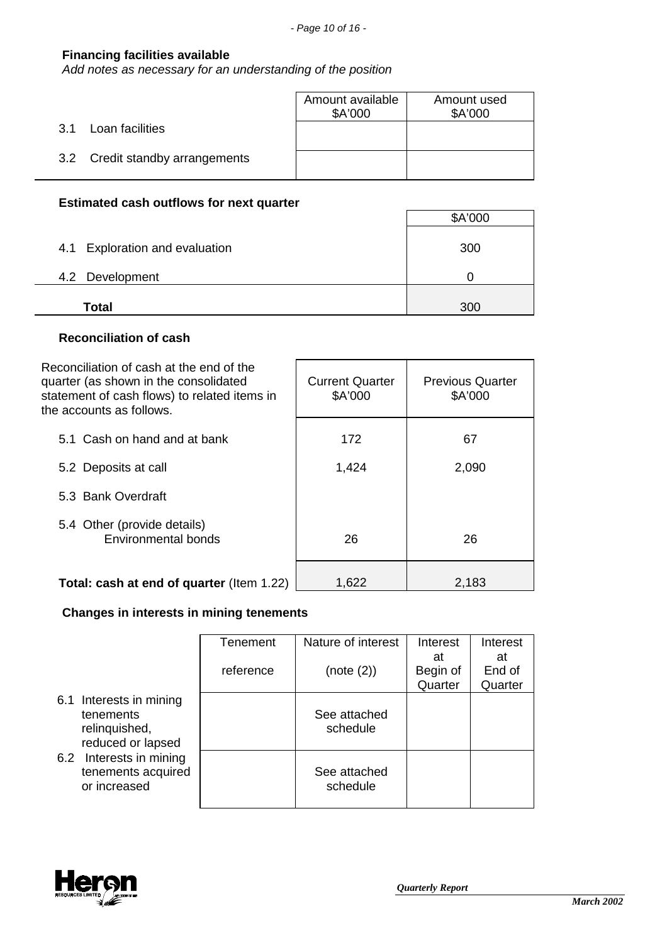## **Financing facilities available**

*Add notes as necessary for an understanding of the position*

|                                 | Amount available<br>\$A'000 | Amount used<br>\$A'000 |
|---------------------------------|-----------------------------|------------------------|
| Loan facilities<br>3.1          |                             |                        |
| 3.2 Credit standby arrangements |                             |                        |

# **Estimated cash outflows for next quarter**

|                                | \$A'000 |
|--------------------------------|---------|
| 4.1 Exploration and evaluation | 300     |
| 4.2 Development                |         |
| <b>Total</b>                   | 300     |

## **Reconciliation of cash**

| Reconciliation of cash at the end of the<br>quarter (as shown in the consolidated<br>statement of cash flows) to related items in<br>the accounts as follows. | <b>Current Quarter</b><br>\$A'000 | <b>Previous Quarter</b><br>\$A'000 |
|---------------------------------------------------------------------------------------------------------------------------------------------------------------|-----------------------------------|------------------------------------|
| 5.1 Cash on hand and at bank                                                                                                                                  | 172                               | 67                                 |
| 5.2 Deposits at call                                                                                                                                          | 1,424                             | 2,090                              |
| 5.3 Bank Overdraft                                                                                                                                            |                                   |                                    |
| 5.4 Other (provide details)<br>Environmental bonds                                                                                                            | 26                                | 26                                 |
| Total: cash at end of quarter (Item 1.22)                                                                                                                     | 1,622                             | 2,183                              |

# **Changes in interests in mining tenements**

|                                                                            | Tenement  | Nature of interest       | Interest                  | Interest                |
|----------------------------------------------------------------------------|-----------|--------------------------|---------------------------|-------------------------|
|                                                                            | reference | (note (2))               | at<br>Begin of<br>Quarter | at<br>End of<br>Quarter |
| 6.1 Interests in mining<br>tenements<br>relinquished,<br>reduced or lapsed |           | See attached<br>schedule |                           |                         |
| 6.2 Interests in mining<br>tenements acquired<br>or increased              |           | See attached<br>schedule |                           |                         |

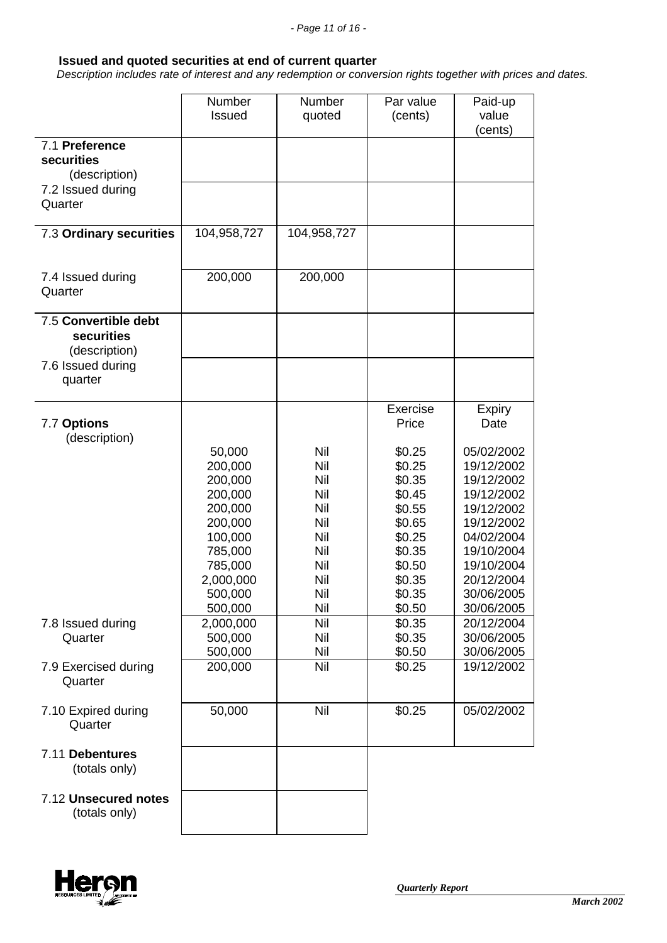#### **Issued and quoted securities at end of current quarter**

 *Description includes rate of interest and any redemption or conversion rights together with prices and dates.*

|                                                     | Number<br><b>Issued</b> | Number<br>quoted | Par value<br>(cents) | Paid-up<br>value<br>cents) |
|-----------------------------------------------------|-------------------------|------------------|----------------------|----------------------------|
| 7.1 Preference<br>securities<br>(description)       |                         |                  |                      |                            |
| 7.2 Issued during<br>Quarter                        |                         |                  |                      |                            |
| 7.3 Ordinary securities                             | 104,958,727             | 104,958,727      |                      |                            |
| 7.4 Issued during<br>Quarter                        | 200,000                 | 200,000          |                      |                            |
| 7.5 Convertible debt<br>securities<br>(description) |                         |                  |                      |                            |
| 7.6 Issued during<br>quarter                        |                         |                  |                      |                            |
| 7.7 Options<br>(description)                        |                         |                  | Exercise<br>Price    | <b>Expiry</b><br>Date      |
|                                                     | 50,000<br>200,000       | Nil<br>Nil       | \$0.25<br>\$0.25     | 05/02/2002<br>19/12/2002   |
|                                                     | 200,000<br>200,000      | Nil<br>Nil       | \$0.35<br>\$0.45     | 19/12/2002<br>19/12/2002   |
|                                                     | 200,000                 | Nil              | \$0.55<br>\$0.65     | 19/12/2002<br>19/12/2002   |
|                                                     | 200,000<br>100,000      | Nil<br>Nil       | \$0.25               | 04/02/2004                 |
|                                                     | 785,000<br>785,000      | Nil<br>Nil       | \$0.35<br>\$0.50     | 19/10/2004<br>19/10/2004   |
|                                                     | 2,000,000               | Nil              | \$0.35               | 20/12/2004                 |
|                                                     | 500,000<br>500,000      | Nil<br>Nil       | \$0.35<br>\$0.50     | 30/06/2005<br>30/06/2005   |
| 7.8 Issued during<br>Quarter                        | 2,000,000<br>500,000    | Nil<br>Nil       | \$0.35<br>\$0.35     | 20/12/2004<br>30/06/2005   |
|                                                     | 500,000                 | Nil              | \$0.50               | 30/06/2005                 |
| 7.9 Exercised during<br>Quarter                     | 200,000                 | Nil              | \$0.25               | 19/12/2002                 |
| 7.10 Expired during<br>Quarter                      | 50,000                  | Nil              | \$0.25               | 05/02/2002                 |
| 7.11 Debentures<br>(totals only)                    |                         |                  |                      |                            |
| 7.12 Unsecured notes<br>(totals only)               |                         |                  |                      |                            |

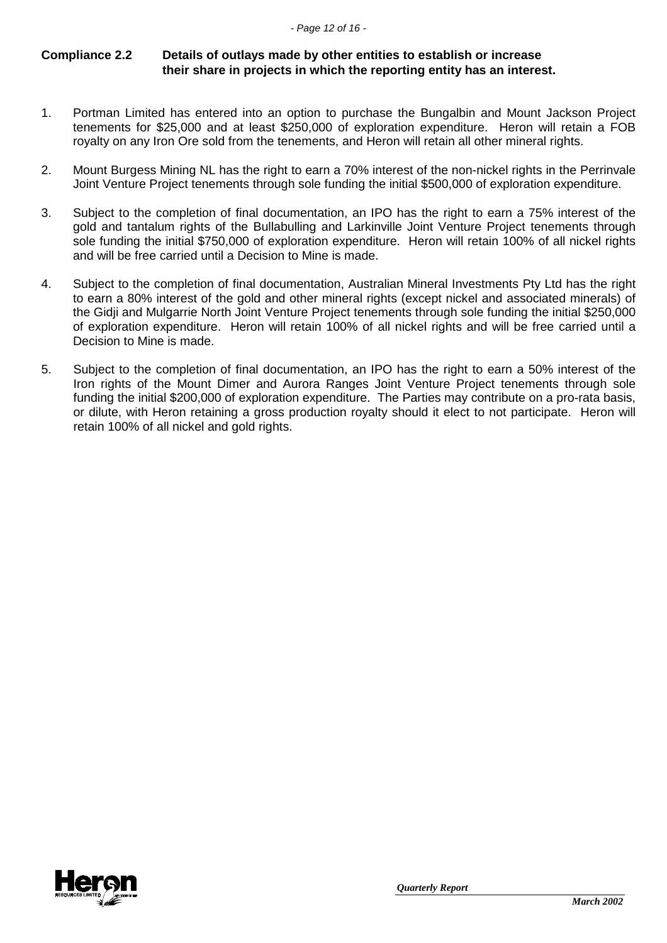## **Compliance 2.2 Details of outlays made by other entities to establish or increase their share in projects in which the reporting entity has an interest.**

- 1. Portman Limited has entered into an option to purchase the Bungalbin and Mount Jackson Project tenements for \$25,000 and at least \$250,000 of exploration expenditure. Heron will retain a FOB royalty on any Iron Ore sold from the tenements, and Heron will retain all other mineral rights.
- 2. Mount Burgess Mining NL has the right to earn a 70% interest of the non-nickel rights in the Perrinvale Joint Venture Project tenements through sole funding the initial \$500,000 of exploration expenditure.
- 3. Subject to the completion of final documentation, an IPO has the right to earn a 75% interest of the gold and tantalum rights of the Bullabulling and Larkinville Joint Venture Project tenements through sole funding the initial \$750,000 of exploration expenditure. Heron will retain 100% of all nickel rights and will be free carried until a Decision to Mine is made.
- 4. Subject to the completion of final documentation, Australian Mineral Investments Pty Ltd has the right to earn a 80% interest of the gold and other mineral rights (except nickel and associated minerals) of the Gidji and Mulgarrie North Joint Venture Project tenements through sole funding the initial \$250,000 of exploration expenditure. Heron will retain 100% of all nickel rights and will be free carried until a Decision to Mine is made.
- 5. Subject to the completion of final documentation, an IPO has the right to earn a 50% interest of the Iron rights of the Mount Dimer and Aurora Ranges Joint Venture Project tenements through sole funding the initial \$200,000 of exploration expenditure. The Parties may contribute on a pro-rata basis, or dilute, with Heron retaining a gross production royalty should it elect to not participate. Heron will retain 100% of all nickel and gold rights.

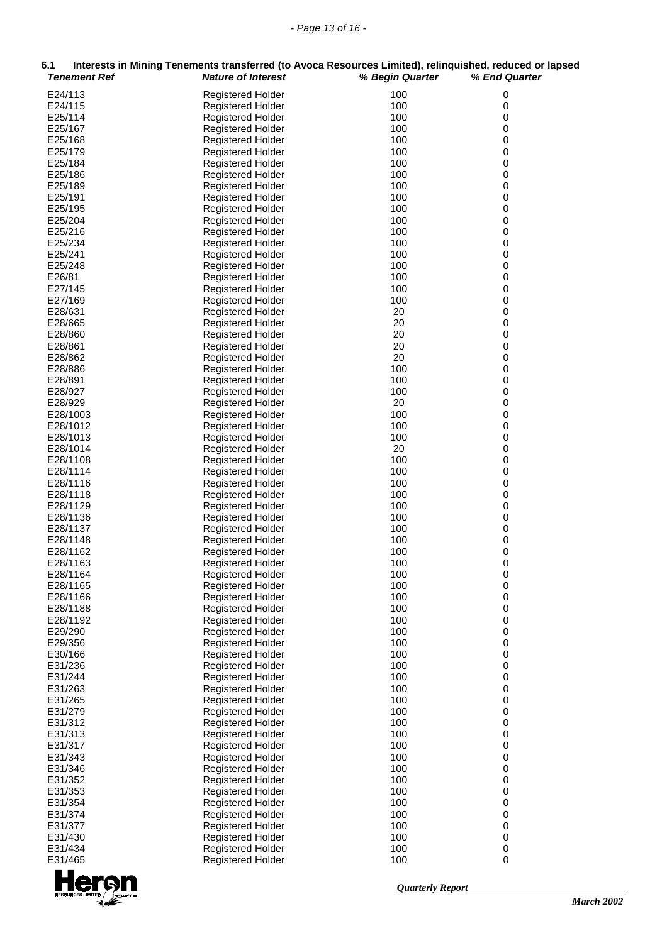| 6.1<br><b>Tenement Ref</b> | Interests in Mining Tenements transferred (to Avoca Resources Limited), relinquished, reduced or lapsed<br><b>Nature of Interest</b> | % Begin Quarter | % End Quarter |
|----------------------------|--------------------------------------------------------------------------------------------------------------------------------------|-----------------|---------------|
| E24/113                    | Registered Holder                                                                                                                    | 100             | 0             |
| E24/115                    | <b>Registered Holder</b>                                                                                                             | 100             | $\pmb{0}$     |
| E25/114                    | Registered Holder                                                                                                                    | 100             | 0             |
| E25/167                    | <b>Registered Holder</b>                                                                                                             | 100             | 0             |
| E25/168                    | <b>Registered Holder</b>                                                                                                             | 100             | 0             |
| E25/179<br>E25/184         | <b>Registered Holder</b>                                                                                                             | 100<br>100      | 0<br>0        |
| E25/186                    | <b>Registered Holder</b><br><b>Registered Holder</b>                                                                                 | 100             | 0             |
| E25/189                    | <b>Registered Holder</b>                                                                                                             | 100             | 0             |
| E25/191                    | <b>Registered Holder</b>                                                                                                             | 100             | 0             |
| E25/195                    | Registered Holder                                                                                                                    | 100             | 0             |
| E25/204                    | <b>Registered Holder</b>                                                                                                             | 100             | 0             |
| E25/216                    | Registered Holder                                                                                                                    | 100             | 0             |
| E25/234                    | <b>Registered Holder</b>                                                                                                             | 100             | 0             |
| E25/241                    | <b>Registered Holder</b>                                                                                                             | 100             | 0             |
| E25/248<br>E26/81          | <b>Registered Holder</b><br><b>Registered Holder</b>                                                                                 | 100<br>100      | 0<br>0        |
| E27/145                    | <b>Registered Holder</b>                                                                                                             | 100             | 0             |
| E27/169                    | <b>Registered Holder</b>                                                                                                             | 100             | 0             |
| E28/631                    | <b>Registered Holder</b>                                                                                                             | 20              | 0             |
| E28/665                    | <b>Registered Holder</b>                                                                                                             | 20              | 0             |
| E28/860                    | <b>Registered Holder</b>                                                                                                             | 20              | 0             |
| E28/861                    | <b>Registered Holder</b>                                                                                                             | 20              | 0             |
| E28/862                    | <b>Registered Holder</b>                                                                                                             | 20              | 0             |
| E28/886                    | Registered Holder                                                                                                                    | 100             | 0             |
| E28/891                    | <b>Registered Holder</b>                                                                                                             | 100<br>100      | 0<br>0        |
| E28/927<br>E28/929         | <b>Registered Holder</b><br><b>Registered Holder</b>                                                                                 | 20              | 0             |
| E28/1003                   | <b>Registered Holder</b>                                                                                                             | 100             | 0             |
| E28/1012                   | Registered Holder                                                                                                                    | 100             | 0             |
| E28/1013                   | <b>Registered Holder</b>                                                                                                             | 100             | 0             |
| E28/1014                   | <b>Registered Holder</b>                                                                                                             | 20              | 0             |
| E28/1108                   | <b>Registered Holder</b>                                                                                                             | 100             | 0             |
| E28/1114                   | <b>Registered Holder</b>                                                                                                             | 100             | 0             |
| E28/1116                   | <b>Registered Holder</b>                                                                                                             | 100             | 0             |
| E28/1118<br>E28/1129       | <b>Registered Holder</b><br><b>Registered Holder</b>                                                                                 | 100<br>100      | 0<br>0        |
| E28/1136                   | Registered Holder                                                                                                                    | 100             | 0             |
| E28/1137                   | Registered Holder                                                                                                                    | 100             | 0             |
| E28/1148                   | <b>Registered Holder</b>                                                                                                             | 100             | 0             |
| E28/1162                   | <b>Registered Holder</b>                                                                                                             | 100             | 0             |
| E28/1163                   | Registered Holder                                                                                                                    | 100             | 0             |
| E28/1164                   | <b>Registered Holder</b>                                                                                                             | 100             | 0             |
| E28/1165                   | <b>Registered Holder</b>                                                                                                             | 100             | 0             |
| E28/1166<br>E28/1188       | Registered Holder<br>Registered Holder                                                                                               | 100<br>100      | 0<br>0        |
| E28/1192                   | <b>Registered Holder</b>                                                                                                             | 100             | 0             |
| E29/290                    | <b>Registered Holder</b>                                                                                                             | 100             | 0             |
| E29/356                    | Registered Holder                                                                                                                    | 100             | 0             |
| E30/166                    | Registered Holder                                                                                                                    | 100             | 0             |
| E31/236                    | <b>Registered Holder</b>                                                                                                             | 100             | 0             |
| E31/244                    | <b>Registered Holder</b>                                                                                                             | 100             | 0             |
| E31/263                    | <b>Registered Holder</b>                                                                                                             | 100             | 0             |
| E31/265                    | <b>Registered Holder</b>                                                                                                             | 100<br>100      | 0<br>0        |
| E31/279<br>E31/312         | Registered Holder<br>Registered Holder                                                                                               | 100             | 0             |
| E31/313                    | <b>Registered Holder</b>                                                                                                             | 100             | 0             |
| E31/317                    | <b>Registered Holder</b>                                                                                                             | 100             | 0             |
| E31/343                    | <b>Registered Holder</b>                                                                                                             | 100             | 0             |
| E31/346                    | Registered Holder                                                                                                                    | 100             | 0             |
| E31/352                    | Registered Holder                                                                                                                    | 100             | 0             |
| E31/353                    | <b>Registered Holder</b>                                                                                                             | 100             | 0             |
| E31/354                    | <b>Registered Holder</b>                                                                                                             | 100             | 0             |
| E31/374                    | <b>Registered Holder</b>                                                                                                             | 100             | 0             |
| E31/377<br>E31/430         | Registered Holder<br>Registered Holder                                                                                               | 100<br>100      | 0<br>0        |
| E31/434                    | <b>Registered Holder</b>                                                                                                             | 100             | 0             |
| E31/465                    | Registered Holder                                                                                                                    | 100             | 0             |

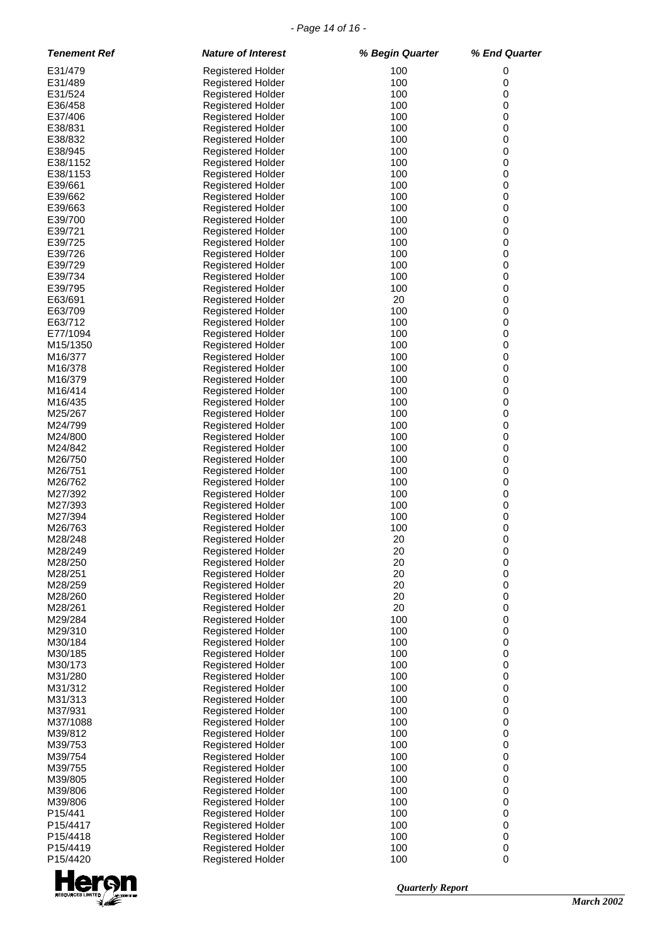#### *- Page 14 of 16 -*

| <b>Tenement Ref</b> | <b>Nature of Interest</b>                            | % Begin Quarter | % End Quarter          |
|---------------------|------------------------------------------------------|-----------------|------------------------|
| E31/479             | <b>Registered Holder</b>                             | 100             | 0                      |
| E31/489             | Registered Holder                                    | 100             | 0                      |
| E31/524             | Registered Holder                                    | 100             | 0                      |
| E36/458             | Registered Holder                                    | 100             | $\mathbf 0$            |
| E37/406             | <b>Registered Holder</b>                             | 100             | $\,0\,$                |
| E38/831             | <b>Registered Holder</b>                             | 100             | $\pmb{0}$              |
| E38/832             | <b>Registered Holder</b>                             | 100             | $\mathbf 0$            |
| E38/945             | <b>Registered Holder</b>                             | 100             | $\,0\,$                |
| E38/1152            | <b>Registered Holder</b>                             | 100             | $\pmb{0}$              |
| E38/1153            | <b>Registered Holder</b>                             | 100             | $\pmb{0}$              |
| E39/661             | <b>Registered Holder</b>                             | 100             | $\mathbf 0$            |
| E39/662             | <b>Registered Holder</b>                             | 100             | $\pmb{0}$              |
| E39/663             | <b>Registered Holder</b>                             | 100             | $\pmb{0}$              |
| E39/700             | <b>Registered Holder</b>                             | 100             | $\pmb{0}$              |
| E39/721             | <b>Registered Holder</b>                             | 100<br>100      | $\,0\,$<br>$\pmb{0}$   |
| E39/725<br>E39/726  | <b>Registered Holder</b><br><b>Registered Holder</b> | 100             | $\pmb{0}$              |
| E39/729             | <b>Registered Holder</b>                             | 100             | $\pmb{0}$              |
| E39/734             | <b>Registered Holder</b>                             | 100             | $\pmb{0}$              |
| E39/795             | <b>Registered Holder</b>                             | 100             | $\pmb{0}$              |
| E63/691             | <b>Registered Holder</b>                             | 20              | $\mathbf 0$            |
| E63/709             | <b>Registered Holder</b>                             | 100             | $\pmb{0}$              |
| E63/712             | <b>Registered Holder</b>                             | 100             | $\pmb{0}$              |
| E77/1094            | <b>Registered Holder</b>                             | 100             | $\mathbf 0$            |
| M15/1350            | <b>Registered Holder</b>                             | 100             | $\,0\,$                |
| M16/377             | <b>Registered Holder</b>                             | 100             | $\pmb{0}$              |
| M16/378             | <b>Registered Holder</b>                             | 100             | $\pmb{0}$              |
| M16/379             | <b>Registered Holder</b>                             | 100             | $\pmb{0}$              |
| M16/414             | <b>Registered Holder</b>                             | 100             | $\pmb{0}$              |
| M16/435             | <b>Registered Holder</b>                             | 100             | $\pmb{0}$              |
| M25/267             | <b>Registered Holder</b>                             | 100             | $\mathbf 0$            |
| M24/799             | <b>Registered Holder</b>                             | 100             | $\pmb{0}$              |
| M24/800             | <b>Registered Holder</b>                             | 100             | 0                      |
| M24/842             | <b>Registered Holder</b>                             | 100             | $\mathbf 0$            |
| M26/750             | <b>Registered Holder</b>                             | 100             | $\,0\,$                |
| M26/751             | <b>Registered Holder</b>                             | 100             | $\pmb{0}$              |
| M26/762             | <b>Registered Holder</b>                             | 100             | $\pmb{0}$              |
| M27/392             | Registered Holder                                    | 100             | $\pmb{0}$              |
| M27/393<br>M27/394  | Registered Holder                                    | 100<br>100      | $\pmb{0}$<br>$\pmb{0}$ |
| M26/763             | <b>Registered Holder</b><br><b>Registered Holder</b> | 100             | $\mathbf 0$            |
| M28/248             | Registered Holder                                    | 20              | 0                      |
| M28/249             | Registered Holder                                    | 20              | 0                      |
| M28/250             | <b>Registered Holder</b>                             | 20              | 0                      |
| M28/251             | <b>Registered Holder</b>                             | 20              | $\pmb{0}$              |
| M28/259             | <b>Registered Holder</b>                             | 20              | 0                      |
| M28/260             | <b>Registered Holder</b>                             | 20              | $\pmb{0}$              |
| M28/261             | Registered Holder                                    | 20              | $\pmb{0}$              |
| M29/284             | <b>Registered Holder</b>                             | 100             | $\pmb{0}$              |
| M29/310             | <b>Registered Holder</b>                             | 100             | $\pmb{0}$              |
| M30/184             | <b>Registered Holder</b>                             | 100             | $\pmb{0}$              |
| M30/185             | <b>Registered Holder</b>                             | 100             | $\pmb{0}$              |
| M30/173             | Registered Holder                                    | 100             | $\pmb{0}$              |
| M31/280             | <b>Registered Holder</b>                             | 100             | $\pmb{0}$              |
| M31/312             | <b>Registered Holder</b>                             | 100             | $\pmb{0}$              |
| M31/313             | <b>Registered Holder</b>                             | 100             | $\pmb{0}$              |
| M37/931             | <b>Registered Holder</b>                             | 100             | $\pmb{0}$              |
| M37/1088            | Registered Holder                                    | 100<br>100      | $\pmb{0}$<br>$\pmb{0}$ |
| M39/812<br>M39/753  | <b>Registered Holder</b><br><b>Registered Holder</b> | 100             | $\pmb{0}$              |
| M39/754             | <b>Registered Holder</b>                             | 100             | $\pmb{0}$              |
| M39/755             | <b>Registered Holder</b>                             | 100             | $\pmb{0}$              |
| M39/805             | <b>Registered Holder</b>                             | 100             | 0                      |
| M39/806             | <b>Registered Holder</b>                             | 100             | $\pmb{0}$              |
| M39/806             | <b>Registered Holder</b>                             | 100             | $\pmb{0}$              |
| P15/441             | Registered Holder                                    | 100             | $\pmb{0}$              |
| P15/4417            | <b>Registered Holder</b>                             | 100             | $\pmb{0}$              |
| P15/4418            | <b>Registered Holder</b>                             | 100             | $\pmb{0}$              |
| P15/4419            | <b>Registered Holder</b>                             | 100             | 0                      |
| P15/4420            | <b>Registered Holder</b>                             | 100             | $\pmb{0}$              |
|                     |                                                      |                 |                        |

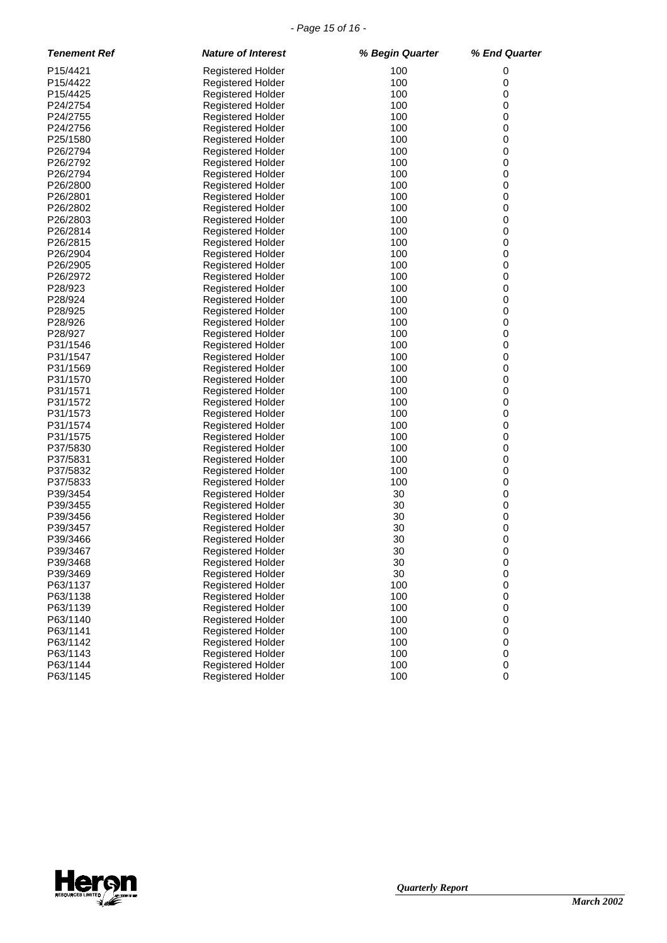#### *- Page 15 of 16 -*

| <b>Tenement Ref</b>  | <b>Nature of Interest</b>                            | % Begin Quarter | % End Quarter        |
|----------------------|------------------------------------------------------|-----------------|----------------------|
| P15/4421             | <b>Registered Holder</b>                             | 100             | 0                    |
| P15/4422             | <b>Registered Holder</b>                             | 100             | 0                    |
| P15/4425             | <b>Registered Holder</b>                             | 100             | 0                    |
| P24/2754             | <b>Registered Holder</b>                             | 100             | 0                    |
| P24/2755             | <b>Registered Holder</b>                             | 100             | 0                    |
| P24/2756             | <b>Registered Holder</b>                             | 100             | 0                    |
| P25/1580             | <b>Registered Holder</b>                             | 100             | 0                    |
| P26/2794             | <b>Registered Holder</b>                             | 100             | 0                    |
| P26/2792             | Registered Holder                                    | 100             | 0                    |
| P26/2794             | <b>Registered Holder</b>                             | 100             | 0                    |
| P26/2800             | <b>Registered Holder</b>                             | 100             | 0                    |
| P26/2801             | <b>Registered Holder</b>                             | 100             | 0                    |
| P26/2802             | <b>Registered Holder</b>                             | 100             | 0                    |
| P26/2803             | <b>Registered Holder</b>                             | 100             | 0                    |
| P26/2814             | <b>Registered Holder</b>                             | 100             | 0                    |
| P26/2815             |                                                      | 100             | 0                    |
| P26/2904             | <b>Registered Holder</b>                             | 100             | 0                    |
| P26/2905             | <b>Registered Holder</b>                             | 100             | $\pmb{0}$            |
|                      | <b>Registered Holder</b>                             |                 |                      |
| P26/2972             | <b>Registered Holder</b>                             | 100             | 0                    |
| P28/923              | Registered Holder                                    | 100             | 0                    |
| P28/924              | <b>Registered Holder</b>                             | 100             | 0                    |
| P28/925              | <b>Registered Holder</b>                             | 100             | 0                    |
| P28/926              | <b>Registered Holder</b>                             | 100             | 0                    |
| P28/927              | Registered Holder                                    | 100             | 0                    |
| P31/1546             | <b>Registered Holder</b>                             | 100             | $\pmb{0}$            |
| P31/1547             | <b>Registered Holder</b>                             | 100             | 0                    |
| P31/1569             | <b>Registered Holder</b>                             | 100             | 0                    |
| P31/1570             | <b>Registered Holder</b>                             | 100             | 0                    |
| P31/1571             | <b>Registered Holder</b>                             | 100             | 0                    |
| P31/1572             | <b>Registered Holder</b>                             | 100             | 0                    |
| P31/1573             | <b>Registered Holder</b>                             | 100             | 0                    |
| P31/1574             | <b>Registered Holder</b>                             | 100             | 0                    |
| P31/1575             | Registered Holder                                    | 100             | 0                    |
| P37/5830             | <b>Registered Holder</b>                             | 100             | 0                    |
| P37/5831             | <b>Registered Holder</b>                             | 100<br>100      | $\pmb{0}$<br>0       |
| P37/5832<br>P37/5833 | <b>Registered Holder</b>                             | 100             |                      |
| P39/3454             | <b>Registered Holder</b>                             |                 | 0                    |
| P39/3455             | <b>Registered Holder</b>                             | 30              | $\pmb{0}$            |
|                      | <b>Registered Holder</b>                             | 30<br>30        | 0                    |
| P39/3456             | <b>Registered Holder</b>                             | 30              | 0                    |
| P39/3457<br>P39/3466 | <b>Registered Holder</b>                             | 30              | 0<br>0               |
|                      | <b>Registered Holder</b>                             |                 |                      |
| P39/3467             | Registered Holder                                    | 30              | 0                    |
| P39/3468<br>P39/3469 | <b>Registered Holder</b>                             | 30<br>30        | 0<br>$\pmb{0}$       |
|                      | <b>Registered Holder</b><br>Registered Holder        | 100             | $\pmb{0}$            |
| P63/1137             |                                                      |                 |                      |
| P63/1138<br>P63/1139 | <b>Registered Holder</b><br><b>Registered Holder</b> | 100<br>100      | $\,0\,$<br>$\pmb{0}$ |
|                      | <b>Registered Holder</b>                             |                 | $\pmb{0}$            |
| P63/1140             |                                                      | 100             |                      |
| P63/1141             | <b>Registered Holder</b>                             | 100             | $\,0\,$              |
| P63/1142             | <b>Registered Holder</b>                             | 100             | 0                    |
| P63/1143             | <b>Registered Holder</b>                             | 100             | $\pmb{0}$            |
| P63/1144             | <b>Registered Holder</b>                             | 100             | $\pmb{0}$            |
| P63/1145             | <b>Registered Holder</b>                             | 100             | $\mathsf 0$          |